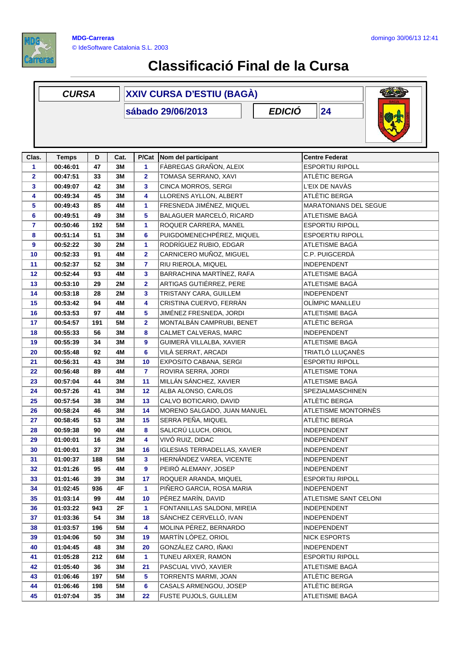

## **Classificació Final de la Cursa**

|              | <b>CURSA</b>                             |     |           | <b>XXIV CURSA D'ESTIU (BAGÀ)</b> |                                     |                         |  |  |
|--------------|------------------------------------------|-----|-----------|----------------------------------|-------------------------------------|-------------------------|--|--|
|              | <b>EDICIÓ</b><br>24<br>sábado 29/06/2013 |     |           |                                  |                                     |                         |  |  |
| Clas.        | <b>Temps</b>                             | D   | Cat.      | P/Cat                            | Nom del participant                 | <b>Centre Federat</b>   |  |  |
| 1            | 00:46:01                                 | 47  | 3M        | 1                                | FÀBREGAS GRAÑON, ALEIX              | <b>ESPORTIU RIPOLL</b>  |  |  |
| $\mathbf{2}$ | 00:47:51                                 | 33  | 3M        | $\mathbf{2}$                     | TOMASA SERRANO, XAVI                | ATLÈTIC BERGA           |  |  |
| 3            | 00:49:07                                 | 42  | 3M        | 3                                | CINCA MORROS, SERGI                 | L'EIX DE NAVÀS          |  |  |
| 4            | 00:49:34                                 | 45  | 3M        | 4                                | LLORENS AYLLON, ALBERT              | ATLÈTIC BERGA           |  |  |
| 5            | 00:49:43                                 | 85  | 4M        | 1                                | FRESNEDA JIMÉNEZ, MIQUEL            | MARATONIANS DEL SEGUE   |  |  |
| 6            | 00:49:51                                 | 49  | 3M        | 5                                | BALAGUER MARCELÓ, RICARD            | ATLETISME BAGÀ          |  |  |
| 7            | 00:50:46                                 | 192 | <b>5M</b> | 1                                | ROQUER CARRERA, MANEL               | <b>ESPORTIU RIPOLL</b>  |  |  |
| 8            | 00:51:14                                 | 51  | 3M        | 6                                | PUIGDOMENECHPÉREZ, MIQUEL           | <b>ESPOERTIU RIPOLL</b> |  |  |
| 9            | 00:52:22                                 | 30  | <b>2M</b> | 1                                | RODRÍGUEZ RUBIO, EDGAR              | ATLETISME BAGÀ          |  |  |
| 10           | 00:52:33                                 | 91  | 4M        | $\overline{\mathbf{2}}$          | CARNICERO MUÑOZ, MIGUEL             | C.P. PUIGCERDÀ          |  |  |
| 11           | 00:52:37                                 | 52  | 3M        | 7                                | RIU RIEROLA, MIQUEL                 | <b>INDEPENDENT</b>      |  |  |
| 12           | 00:52:44                                 | 93  | 4M        | 3                                | BARRACHINA MARTÍNEZ, RAFA           | ATLETISME BAGÀ          |  |  |
| 13           | 00:53:10                                 | 29  | 2M        | $\overline{\mathbf{2}}$          | ARTIGAS GUTIÉRREZ, PERE             | ATLETISME BAGÀ          |  |  |
| 14           | 00:53:18                                 | 28  | <b>2M</b> | 3                                | TRISTANY CARA, GUILLEM              | <b>INDEPENDENT</b>      |  |  |
| 15           | 00:53:42                                 | 94  | 4M        | 4                                | CRISTINA CUERVO, FERRÀN             | OLÍMPIC MANLLEU         |  |  |
| 16           | 00:53:53                                 | 97  | 4M        | 5                                | JIMÉNEZ FRESNEDA, JORDI             | ATLETISME BAGÀ          |  |  |
| 17           | 00:54:57                                 | 191 | <b>5M</b> | $\overline{\mathbf{2}}$          | MONTALBÁN CAMPRUBI, BENET           | ATLÈTIC BERGA           |  |  |
| 18           | 00:55:33                                 | 56  | 3M        | 8                                | CALMET CALVERAS, MARC               | <b>INDEPENDENT</b>      |  |  |
| 19           | 00:55:39                                 | 34  | 3M        | 9                                | GUIMERÀ VILLALBA, XAVIER            | ATLETISME BAGA          |  |  |
| 20           | 00:55:48                                 | 92  | 4M        | 6                                | VILÀ SERRAT, ARCADI                 | TRIATLÓ LLUÇANÈS        |  |  |
| 21           | 00:56:31                                 | 43  | 3M        | 10                               | EXPOSITO CABANA, SERGI              | <b>ESPORTIU RIPOLL</b>  |  |  |
| 22           | 00:56:48                                 | 89  | 4M        | $\overline{7}$                   | ROVIRA SERRA, JORDI                 | <b>ATLETISME TONA</b>   |  |  |
| 23           | 00:57:04                                 | 44  | 3M        | 11                               | MILLÁN SÁNCHEZ, XAVIER              | ATLETISME BAGÀ          |  |  |
| 24           | 00:57:26                                 | 41  | 3M        | 12                               | ALBA ALONSO, CARLOS                 | SPEZIALMASCHINEN        |  |  |
| 25           | 00:57:54                                 | 38  | 3M        | 13                               | CALVO BOTICARIO, DAVID              | ATLÈTIC BERGA           |  |  |
| 26           | 00:58:24                                 | 46  | 3M        | 14                               | MORENO SALGADO, JUAN MANUEL         | ATLETISME MONTORNÈS     |  |  |
| 27           | 00:58:45                                 | 53  | 3M        | 15                               | SERRA PEÑA, MIQUEL                  | ATLÈTIC BERGA           |  |  |
| 28           | 00:59:38                                 | 90  | 4M        | 8                                | SALICRÚ LLUCH, ORIOL                | INDEPENDENT             |  |  |
| 29           | 01:00:01                                 | 16  | 2M        | 4                                | VIVÓ RUIZ, DIDAC                    | <b>INDEPENDENT</b>      |  |  |
| 30           | 01:00:01                                 | 37  | 3M        | 16                               | <b>IGLESIAS TERRADELLAS, XAVIER</b> | <b>INDEPENDENT</b>      |  |  |
| 31           | 01:00:37                                 | 188 | 5M        | 3                                | HERNÁNDEZ VAREA, VICENTE            | <b>INDEPENDENT</b>      |  |  |
| 32           | 01:01:26                                 | 95  | 4M        | 9                                | PEIRÓ ALEMANY, JOSEP                | <b>INDEPENDENT</b>      |  |  |
| 33           | 01:01:46                                 | 39  | 3M        | 17                               | ROQUER ARANDA, MIQUEL               | <b>ESPORTIU RIPOLL</b>  |  |  |
| 34           | 01:02:45                                 | 936 | 4F        | 1                                | PIÑERO GARCIA, ROSA MARIA           | INDEPENDENT             |  |  |
| 35           | 01:03:14                                 | 99  | 4M        | 10                               | PÉREZ MARÍN, DAVID                  | ATLETISME SANT CELONI   |  |  |
| 36           | 01:03:22                                 | 943 | 2F        | 1                                | FONTANILLAS SALDONI, MIREIA         | <b>INDEPENDENT</b>      |  |  |
| 37           | 01:03:36                                 | 54  | 3M        | 18                               | SÁNCHEZ CERVELLÓ, IVAN              | <b>INDEPENDENT</b>      |  |  |
| 38           | 01:03:57                                 | 196 | 5M        | 4                                | MOLINA PÉREZ, BERNARDO              | <b>INDEPENDENT</b>      |  |  |
| 39           | 01:04:06                                 | 50  | 3M        | 19                               | MARTÍN LÓPEZ, ORIOL                 | <b>NICK ESPORTS</b>     |  |  |
| 40           | 01:04:45                                 | 48  | 3M        | 20                               | GONZÁLEZ CARO, IÑAKI                | <b>INDEPENDENT</b>      |  |  |
| 41           | 01:05:28                                 | 212 | 6M        | 1                                | TUNEU ARXER, RAMON                  | <b>ESPORTIU RIPOLL</b>  |  |  |
| 42           | 01:05:40                                 | 36  | 3M        | 21                               | PASCUAL VIVÓ, XAVIER                | ATLETISME BAGÀ          |  |  |
| 43           | 01:06:46                                 | 197 | 5M        | 5                                | TORRENTS MARMI, JOAN                | ATLÈTIC BERGA           |  |  |
| 44           | 01:06:46                                 | 198 | <b>5M</b> | 6                                | CASALS ARMENGOU, JOSEP              | ATLÈTIC BERGA           |  |  |
| 45           | 01:07:04                                 | 35  | 3M        | 22                               | FUSTE PUJOLS, GUILLEM               | ATLETISME BAGÀ          |  |  |